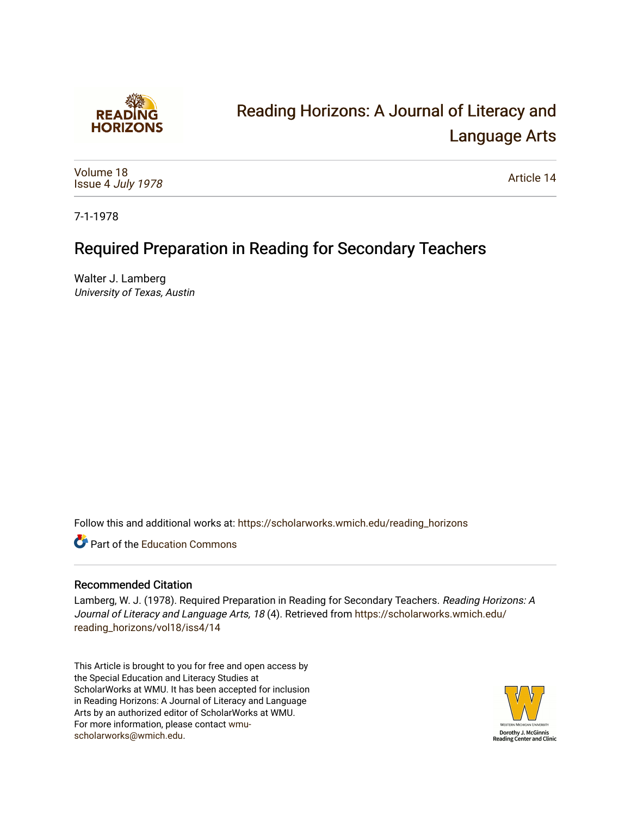

# [Reading Horizons: A Journal of Literacy and](https://scholarworks.wmich.edu/reading_horizons)  [Language Arts](https://scholarworks.wmich.edu/reading_horizons)

[Volume 18](https://scholarworks.wmich.edu/reading_horizons/vol18) Issue 4 [July 1978](https://scholarworks.wmich.edu/reading_horizons/vol18/iss4)

[Article 14](https://scholarworks.wmich.edu/reading_horizons/vol18/iss4/14) 

7-1-1978

## Required Preparation in Reading for Secondary Teachers

Walter J. Lamberg University of Texas, Austin

Follow this and additional works at: [https://scholarworks.wmich.edu/reading\\_horizons](https://scholarworks.wmich.edu/reading_horizons?utm_source=scholarworks.wmich.edu%2Freading_horizons%2Fvol18%2Fiss4%2F14&utm_medium=PDF&utm_campaign=PDFCoverPages)

**C** Part of the [Education Commons](http://network.bepress.com/hgg/discipline/784?utm_source=scholarworks.wmich.edu%2Freading_horizons%2Fvol18%2Fiss4%2F14&utm_medium=PDF&utm_campaign=PDFCoverPages)

### Recommended Citation

Lamberg, W. J. (1978). Required Preparation in Reading for Secondary Teachers. Reading Horizons: A Journal of Literacy and Language Arts, 18 (4). Retrieved from [https://scholarworks.wmich.edu/](https://scholarworks.wmich.edu/reading_horizons/vol18/iss4/14?utm_source=scholarworks.wmich.edu%2Freading_horizons%2Fvol18%2Fiss4%2F14&utm_medium=PDF&utm_campaign=PDFCoverPages) [reading\\_horizons/vol18/iss4/14](https://scholarworks.wmich.edu/reading_horizons/vol18/iss4/14?utm_source=scholarworks.wmich.edu%2Freading_horizons%2Fvol18%2Fiss4%2F14&utm_medium=PDF&utm_campaign=PDFCoverPages)

This Article is brought to you for free and open access by the Special Education and Literacy Studies at ScholarWorks at WMU. It has been accepted for inclusion in Reading Horizons: A Journal of Literacy and Language Arts by an authorized editor of ScholarWorks at WMU. For more information, please contact [wmu](mailto:wmu-scholarworks@wmich.edu)[scholarworks@wmich.edu.](mailto:wmu-scholarworks@wmich.edu)

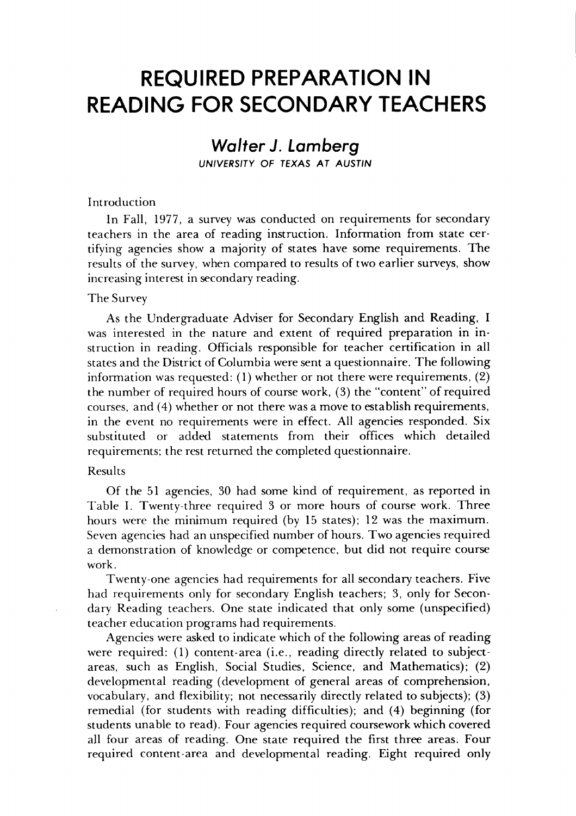## *REQUIRED PREPARATION IN* **REQUIRED PREPARATION IN**  *READING FOR SECONDARY TEACHERS* **READING FOR SECONDARY TEACHERS**

### *Walter J. Lamberg Wolter* **J.** *Lamberg*

*UNIVERSITY OF TEXAS AT AUSTIN* UNIVERSITY OF TEXAS AT AUSTIN

#### Introduction Introduction

In Fall, 1977, a survey was conducted on requirements for secondary In Fall, 1977, a survey was conducted on requirements for secondary teachers in the area of reading instruction. Information from state cer teachers in the area of reading instruction. Information from state certifying agencies show a majority of states have some requirements. The tifying agencies show a majority of states have some requirements. The results of the survey, when compared to results of two earlier surveys, show increasing interest in secondary reading. increasing interest in secondary reading.

#### The Survey The Survey

As the Undergraduate Adviser for Secondary English and Reading, I As the Undergraduate Adviser for Secondary English and Reading, was interested in the nature and extent of required preparation in in was interested in the nature and extent of required preparation in instruction in reading. Officials responsible for teacher certification in all struction in reading. Officials responsible for teacher certification in all states and the District of Columbia were sent a questionnaire. The following states and the District of Columbia were sent a questionnaire. The following information was requested: (1) whether or not there were requirements, (2) information was requested: (1) whether or not there were requirements, (2) the number of required hours of course work, (3) the "content" of required the number of required hours of course work, (3) the "content" of required courses, and (4) whether or not there was a move to establish requirements, courses, and (4) whether or not there was a to esta blish requirements, in the event no requirements were in effect. All agencies responded. Six in the event no requirements were in effect. All agencies responded. Six substituted or added statements from their offices which detailed substituted or added statements from their offices which detailed requirements; the rest returned the completed questionnaire. requirements; the rest returned the completed questionnaire.

#### Results Results

Of the 51 agencies, 30 had some kind of requirement, as reported in Of the 51 agencies, 30 had some kind of requirement, as reported in Table I. Twenty-three required 3 or more hours of course work. Three Table I. Twenty-three required 3 or more hours of course work. Three hours were the minimum required (by 15 states); 12 was the maximum. hours were the minimum required (by 15 states); 12 was the maximum. Seven agencies had an unspecified number of hours. Two agencies required Seven agencies had an unspecified number hours. Two agencies required a demonstration of knowledge or competence, but did not require course a demonstration of knowledge or competence, but did not require course work. work.

Twenty-one agencies had requirements for all secondary teachers. Five Twenty-one agencies had requirements for all secondary teachers. Five had requirements only for secondary English teachers; 3, only for Secon had requirements only for secondary English teachers; 3, only for Secondary Reading teachers. One state indicated that only some (unspecified) dary Reading teachers. One state indicated that only some (unspecified) teacher education programs had requirements. teacher education programs had requirements.

Agencies were asked to indicate which of the following areas of reading Agencies were asked to indicate which of the following areas of reading were required: (1) content-area (i.e., reading directly related to subject-were required: (1) content-area (i.e., reading directly related to subjectareas, such as English, Social Studies, Science, and Mathematics); (2) areas, such as English, Social Studies, Science, and Mathematics); (2) developmental reading (development of general areas of comprehension, developmental reading (development of general areas of comprehension, vocabulary, and flexibility; not necessarily directly related to subjects); (3) vocabulary, and flexibility; not necessarily directly related to subjects); (3) remedial (for students with reading difficulties); and (4) beginning (for remedial (for students with reading difficulties); and (4) beginning (for students unable to read). Four agencies required coursework which covered students unable to read). Four agencies required coursework which covered all four areas of reading. One state required the first three areas. Four all four areas of reading. One state required the first three areas. Four required content-area and developmental reading. Eight required only required content-area and developmental reading. Eight required only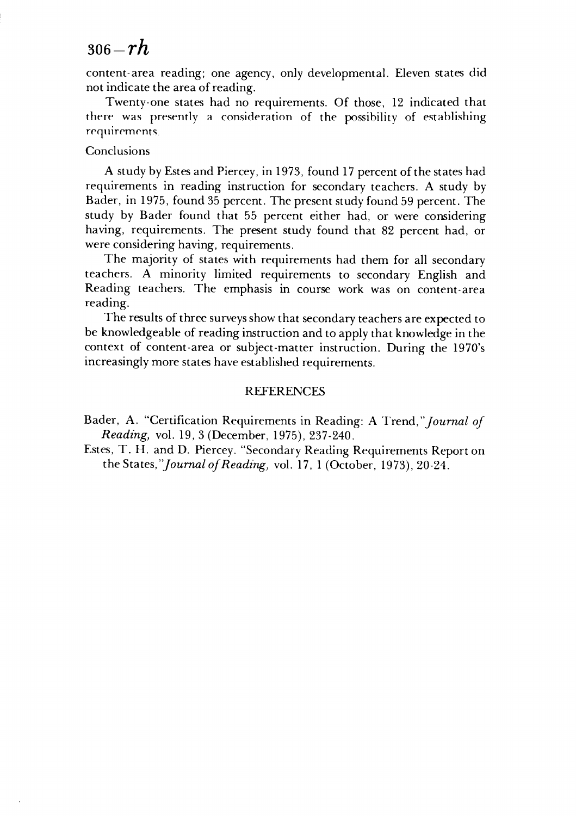## <sup>306</sup>**-rh** *306-rh*

content-area reading; one agency, only developmental. Eleven states did not indicate the area of reading. not indicate the area of reading.

Twenty-one states had no requirements. Of those, 12 indicated that Twenty-one states had no requirements. Of those, 12 indicated that there was presently a consideration of the possibility of establishing requirements.

#### Conclusions Conclusions

A study by Estes and Piercey, in 1973, found 17 percent of the states had A study by Estes and Piercey, in 1973, found 17 percent of the states had requirements in reading instruction for secondary teachers. A study by requirements in reading instruction for secondary teachers. A study by Bader, in 1975, found 35 percent. The present study found 59 percent. The Bader, in 1975, found 35 percent. The present study found 59 percent. The study by Bader found that 55 percent either had, or were considering study by Bader found that 55 percent either had, or were considering having, requirements. The present study found that 82 percent had, or having, requirements. The present study found that 82 percent had, or were considering having, requirements. were considering having, requirements.

The majority of states with requirements had them for all secondary The majority of states with requirements had them for all secondary teachers. A minority limited requirements to secondary English and teachers. A minority limited requirements to secondary English and Reading teachers. The emphasis in course work was on content-area Reading teachers. The emphasis in course work was on content-area reading. reading.

The results of three surveys show that secondary teachers are expected to be knowledgeable of reading instruction and to apply that knowledge in the be knowledgeable of reading instruction and to apply that knowledge in the context of content-area or subject-matter instruction. During the 1970's context of content-area or subject-matter instruction. During the 1970's increasingly more states have established requirements.

#### REFERENCES REFERENCES

Bader, A. "Certification Requirements in Reading: A Trend,"Journal **of** Bader, A. "Certification Requirements in Reading: A Trend, *"Journal of*  **Reading,** vol. 19, 3 (December, 1975), 237-240. *Reading)* vol. 19,3 (December, 1975),237-240.

Estes, T. H. and D. Piercey. "Secondary Reading Requirements Report on Estes, T. H. and D. Piercey. "Secondary Reading Requirements Report on the States,'Journal **ojReading,** vol. 17, 1 (October, 1973), 20-24. the States, *"Joumal of Reading)* vol. 17, 1 (October, 1973),20-24.